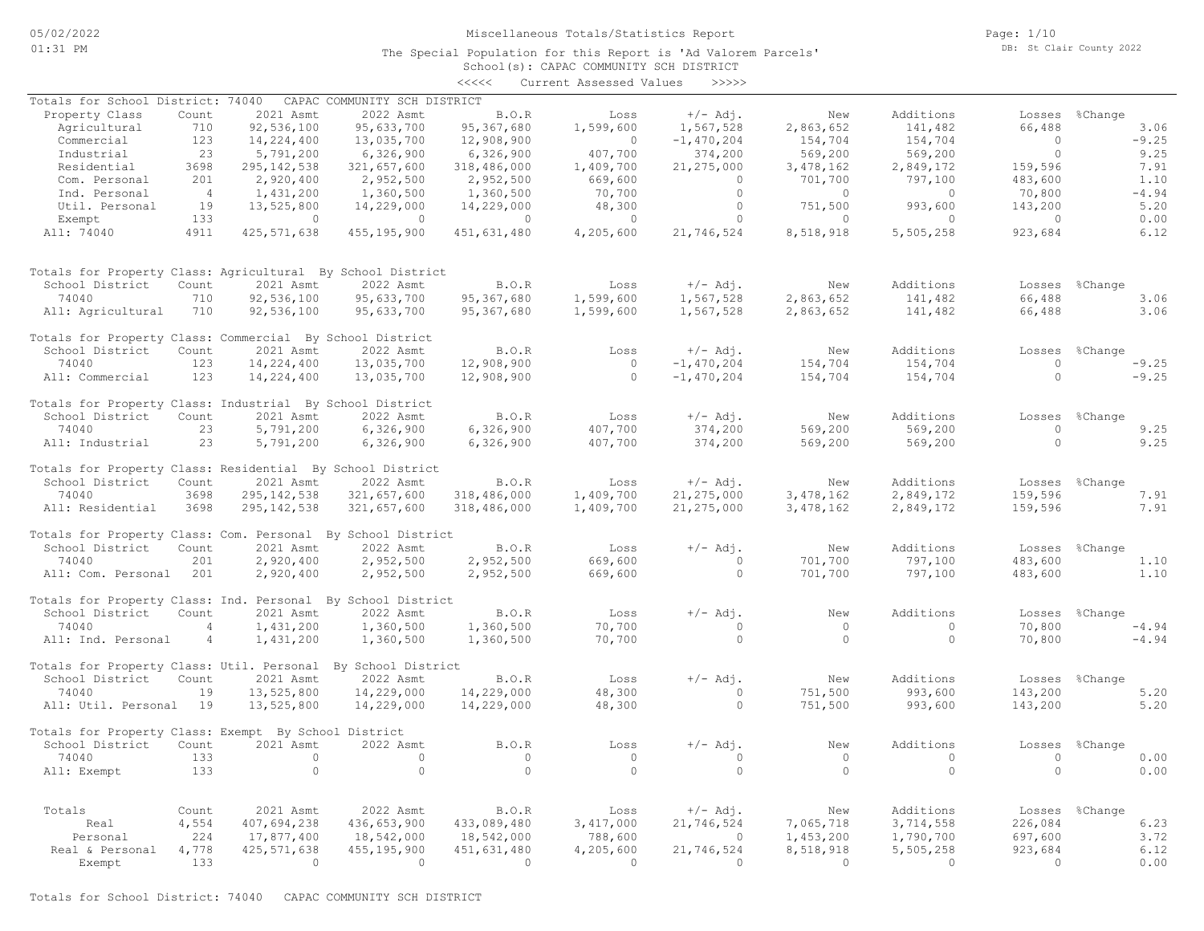The Special Population for this Report is 'Ad Valorem Parcels'

Page: 1/10 DB: St Clair County 2022

# School(s): CAPAC COMMUNITY SCH DISTRICT <<<<< Current Assessed Values >>>>> Real & Personal 4,778 425,571,638 455,195,900 451,631,480 4,205,600 21,746,524 8,518,918 5,505,258 923,684 6.12 Personal 224 17,877,400 18,542,000 18,542,000 788,600 0 1,453,200 1,790,700 697,600 3.72 Real 4,554 407,694,238 436,653,900 433,089,480 3,417,000 21,746,524 7,065,718 3,714,558 226,084 6.23 Totals Count 2021 Asmt 2022 Asmt B.O.R Loss +/- Adj. New Additions Losses %Change All: Exempt 133 0 0 0 0 0 0 0 0 0.00 74040 133 0 0 0 0 0 0 0 0 0.00 School District Count 2021 Asmt 2022 Asmt B.O.R Loss +/-Adj. New Additions Losses %Change Totals for Property Class: Exempt By School District All: Util. Personal 19 13,525,800 14,229,000 14,229,000 48,300 0 751,500 993,600 143,200 5.20 74040 19 13,525,800 14,229,000 14,229,000 48,300 0 751,500 993,600 143,200 5.20 School District Count 2021 Asmt 2022 Asmt B.O.R Loss +/-Adj. New Additions Losses %Change Totals for Property Class: Util. Personal By School District All: Ind. Personal 4 1,431,200 1,360,500 1,360,500 70,700 0 0 0 70,800 -4.94 74040 4 1,431,200 1,360,500 1,360,500 70,700 0 0 0 70,800 -4.94 School District Count 2021 Asmt 2022 Asmt B.O.R Loss  $+/-$  Adj. New Additions Losses %Change<br>74040 4 1,431,200 1,360,500 1,360,500 70,700 0 0 0 70,800 -4.94 Totals for Property Class: Ind. Personal By School District All: Com. Personal 201 2,920,400 2,952,500 2,952,500 669,600 0 701,700 797,100 483,600 1.10 74040 201 2,920,400 2,952,500 2,952,500 669,600 0 701,700 797,100 483,600 1.10 School District Count 2021 Asmt 2022 Asmt B.O.R Loss +/- Adj. New Additions Losses %Change Totals for Property Class: Com. Personal By School District All: Residential 3698 295,142,538 321,657,600 318,486,000 1,409,700 21,275,000 3,478,162 2,849,172 159,596 7.91 74040 3698 295,142,538 321,657,600 318,486,000 1,409,700 21,275,000 3,478,162 2,849,172 159,596 7.91 School District Count 2021 Asmt 2022 Asmt B.O.R Loss +/- Adj. New Additions Losses %Change Totals for Property Class: Residential By School District All: Industrial 23 5,791,200 6,326,900 6,326,900 407,700 374,200 569,200 569,200 0 9.25 74040 23 5,791,200 6,326,900 6,326,900 407,700 374,200 569,200 569,200 0 9.25 School District Count 2021 Asmt 2022 Asmt B.O.R Loss +/-Adj. New Additions Losses %Change Totals for Property Class: Industrial By School District All: Commercial 123 14,224,400 13,035,700 12,908,900 0 -1,470,204 154,704 154,704 0 -9.25 74040 123 14,224,400 13,035,700 12,908,900 0 -1,470,204 154,704 154,704 0 -9.25 School District Count 2021 Asmt 2022 Asmt B.O.R Loss +/-Adj. New Additions Losses %Change Totals for Property Class: Commercial By School District All: Agricultural 710 92,536,100 95,633,700 95,367,680 1,599,600 1,567,528 2,863,652 141,482 66,488 3.06 74040 710 92,536,100 95,633,700 95,367,680 1,599,600 1,567,528 2,863,652 141,482 66,488 3.06 School District Count 2021 Asmt 2022 Asmt B.O.R Loss +/-Adj. New Additions Losses %Change Totals for Property Class: Agricultural By School District All: 74040 4911 425,571,638 455,195,900 451,631,480 4,205,600 21,746,524 8,518,918 5,505,258 923,684 6.12 Exempt 133 0 0 0 0 0 0 0 0 0.00 Util. Personal 19 13,525,800 14,229,000 14,229,000 48,300 0 751,500 993,600 143,200 5.20 Ind. Personal 4 1,431,200 1,360,500 1,360,500 70,700 0 0 0 70,800 -4.94 Com. Personal 201 2,920,400 2,952,500 2,952,500 669,600 0 701,700 797,100 483,600 1.10 Residential 3698 295,142,538 321,657,600 318,486,000 1,409,700 21,275,000 3,478,162 2,849,172 159,596 7.91 Industrial 23 5,791,200 6,326,900 6,326,900 407,700 374,200 569,200 569,200 0 9.25 Commercial 123 14,224,400 13,035,700 12,908,900 0 -1,470,204 154,704 154,704 0 -9.25 Agricultural 710 92,536,100 95,633,700 95,367,680 1,599,600 1,567,528 2,863,652 141,482 66,488 3.06 Property Class Count 2021 Asmt 2022 Asmt B.O.R Loss +/-Adj. New Additions Losses %Change Totals for School District: 74040 CAPAC COMMUNITY SCH DISTRICT

Exempt 133 0 0 0 0 0 0 0 0 0.00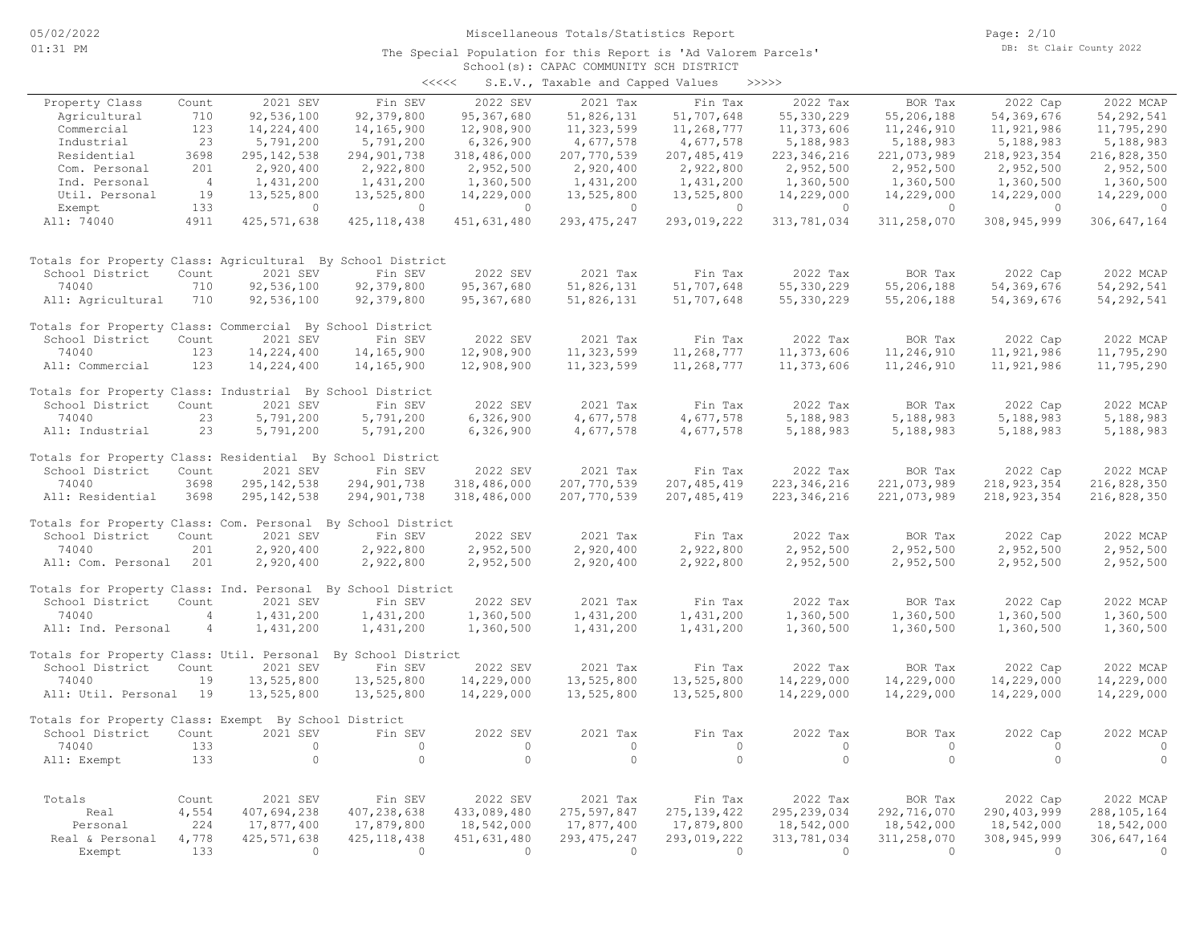#### School(s): CAPAC COMMUNITY SCH DISTRICT The Special Population for this Report is 'Ad Valorem Parcels'

| くくくくく | S.E.V., Taxable and Capped Values |  |  |  | >>>>> |
|-------|-----------------------------------|--|--|--|-------|
|-------|-----------------------------------|--|--|--|-------|

|                                                             |                |               |                    |              | $5.2.7.7$ $10.70000000$ $0.7000000$ |               |                |             |                |               |
|-------------------------------------------------------------|----------------|---------------|--------------------|--------------|-------------------------------------|---------------|----------------|-------------|----------------|---------------|
| Property Class                                              | Count          | 2021 SEV      | Fin SEV            | 2022 SEV     | 2021 Tax                            | Fin Tax       | 2022 Tax       | BOR Tax     | 2022 Cap       | 2022 MCAP     |
| Agricultural                                                | 710            | 92,536,100    | 92,379,800         | 95,367,680   | 51,826,131                          | 51,707,648    | 55,330,229     | 55,206,188  | 54,369,676     | 54, 292, 541  |
| Commercial                                                  | 123            | 14,224,400    | 14,165,900         | 12,908,900   | 11,323,599                          | 11,268,777    | 11,373,606     | 11,246,910  | 11,921,986     | 11,795,290    |
| Industrial                                                  | 23             | 5,791,200     | 5,791,200          | 6,326,900    | 4,677,578                           | 4,677,578     | 5,188,983      | 5,188,983   | 5,188,983      | 5,188,983     |
| Residential                                                 | 3698           | 295, 142, 538 | 294,901,738        | 318,486,000  | 207,770,539                         | 207, 485, 419 | 223, 346, 216  | 221,073,989 | 218, 923, 354  | 216,828,350   |
| Com. Personal                                               | 201            | 2,920,400     | 2,922,800          | 2,952,500    | 2,920,400                           | 2,922,800     | 2,952,500      | 2,952,500   | 2,952,500      | 2,952,500     |
| Ind. Personal                                               | $\overline{4}$ | 1,431,200     | 1,431,200          | 1,360,500    | 1,431,200                           | 1,431,200     | 1,360,500      | 1,360,500   | 1,360,500      | 1,360,500     |
| Util. Personal                                              | 19             | 13,525,800    | 13,525,800         | 14,229,000   | 13,525,800                          | 13,525,800    | 14,229,000     | 14,229,000  | 14,229,000     | 14,229,000    |
| Exempt                                                      | 133            | $\circ$       | $\circ$            | $\circ$      | $\overline{0}$                      | $\circ$       | $\overline{0}$ | $\circ$     | $\overline{0}$ | $\circ$       |
| All: 74040                                                  | 4911           | 425, 571, 638 | 425, 118, 438      | 451,631,480  | 293, 475, 247                       | 293,019,222   | 313,781,034    | 311,258,070 | 308, 945, 999  | 306,647,164   |
| Totals for Property Class: Agricultural By School District  |                |               |                    |              |                                     |               |                |             |                |               |
| School District                                             | Count          | 2021 SEV      | Fin SEV            | 2022 SEV     | 2021 Tax                            | Fin Tax       | 2022 Tax       | BOR Tax     | 2022 Cap       | 2022 MCAP     |
| 74040                                                       | 710            | 92,536,100    | 92,379,800         | 95, 367, 680 | 51,826,131                          | 51,707,648    | 55,330,229     | 55,206,188  | 54,369,676     | 54,292,541    |
| All: Agricultural                                           | 710            | 92,536,100    | 92,379,800         | 95,367,680   | 51,826,131                          | 51,707,648    | 55, 330, 229   | 55,206,188  | 54,369,676     | 54, 292, 541  |
| Totals for Property Class: Commercial By School District    |                |               |                    |              |                                     |               |                |             |                |               |
| School District                                             | Count          | 2021 SEV      | Fin SEV            | 2022 SEV     | 2021 Tax                            | Fin Tax       | 2022 Tax       | BOR Tax     | 2022 Cap       | 2022 MCAP     |
| 74040                                                       | 123            | 14,224,400    | 14,165,900         | 12,908,900   | 11,323,599                          | 11,268,777    | 11,373,606     | 11,246,910  | 11,921,986     | 11,795,290    |
| All: Commercial                                             | 123            | 14,224,400    | 14,165,900         | 12,908,900   | 11,323,599                          | 11,268,777    | 11,373,606     | 11,246,910  | 11,921,986     | 11,795,290    |
| Totals for Property Class: Industrial By School District    |                |               |                    |              |                                     |               |                |             |                |               |
| School District                                             | Count          | 2021 SEV      | Fin SEV            | 2022 SEV     | 2021 Tax                            | Fin Tax       | 2022 Tax       | BOR Tax     | 2022 Cap       | 2022 MCAP     |
| 74040                                                       | 23             | 5,791,200     | 5,791,200          | 6,326,900    | 4,677,578                           | 4,677,578     | 5,188,983      | 5,188,983   | 5,188,983      | 5,188,983     |
| All: Industrial                                             | 23             | 5,791,200     | 5,791,200          | 6,326,900    | 4,677,578                           | 4,677,578     | 5,188,983      | 5,188,983   | 5,188,983      | 5,188,983     |
| Totals for Property Class: Residential By School District   |                |               |                    |              |                                     |               |                |             |                |               |
| School District                                             | Count          | 2021 SEV      | Fin SEV            | 2022 SEV     | 2021 Tax                            | Fin Tax       | 2022 Tax       | BOR Tax     | 2022 Cap       | 2022 MCAP     |
| 74040                                                       | 3698           | 295, 142, 538 | 294, 901, 738      | 318,486,000  | 207, 770, 539                       | 207, 485, 419 | 223, 346, 216  | 221,073,989 | 218, 923, 354  | 216,828,350   |
| All: Residential                                            | 3698           | 295, 142, 538 | 294,901,738        | 318,486,000  | 207,770,539                         | 207, 485, 419 | 223, 346, 216  | 221,073,989 | 218, 923, 354  | 216,828,350   |
| Totals for Property Class: Com. Personal By School District |                |               |                    |              |                                     |               |                |             |                |               |
| School District                                             | Count          | 2021 SEV      | Fin SEV            | 2022 SEV     | 2021 Tax                            | Fin Tax       | 2022 Tax       | BOR Tax     | 2022 Cap       | 2022 MCAP     |
| 74040                                                       | 201            | 2,920,400     | 2,922,800          | 2,952,500    | 2,920,400                           | 2,922,800     | 2,952,500      | 2,952,500   | 2,952,500      | 2,952,500     |
| All: Com. Personal                                          | 201            | 2,920,400     | 2,922,800          | 2,952,500    | 2,920,400                           | 2,922,800     | 2,952,500      | 2,952,500   | 2,952,500      | 2,952,500     |
| Totals for Property Class: Ind. Personal By School District |                |               |                    |              |                                     |               |                |             |                |               |
| School District                                             | Count          | 2021 SEV      | Fin SEV            | 2022 SEV     | 2021 Tax                            | Fin Tax       | 2022 Tax       | BOR Tax     | 2022 Cap       | 2022 MCAP     |
| 74040                                                       | $\overline{4}$ | 1,431,200     | 1,431,200          | 1,360,500    | 1,431,200                           | 1,431,200     | 1,360,500      | 1,360,500   | 1,360,500      | 1,360,500     |
| All: Ind. Personal                                          | $\overline{4}$ | 1,431,200     | 1,431,200          | 1,360,500    | 1,431,200                           | 1,431,200     | 1,360,500      | 1,360,500   | 1,360,500      | 1,360,500     |
| Totals for Property Class: Util. Personal                   |                |               | By School District |              |                                     |               |                |             |                |               |
| School District                                             | Count          | 2021 SEV      | Fin SEV            | 2022 SEV     | 2021 Tax                            | Fin Tax       | 2022 Tax       | BOR Tax     | 2022 Cap       | 2022 MCAP     |
| 74040                                                       | 19             | 13,525,800    | 13,525,800         | 14,229,000   | 13,525,800                          | 13,525,800    | 14,229,000     | 14,229,000  | 14,229,000     | 14,229,000    |
| All: Util. Personal                                         | 19             | 13,525,800    | 13,525,800         | 14,229,000   | 13,525,800                          | 13,525,800    | 14,229,000     | 14,229,000  | 14,229,000     | 14,229,000    |
| Totals for Property Class: Exempt By School District        |                |               |                    |              |                                     |               |                |             |                |               |
| School District                                             | Count          | 2021 SEV      | Fin SEV            | 2022 SEV     | 2021 Tax                            | Fin Tax       | 2022 Tax       | BOR Tax     | 2022 Cap       | 2022 MCAP     |
| 74040                                                       | 133            | $\circ$       | $\circ$            | $\circ$      | $\circ$                             | $\circ$       | $\circ$        | $\circ$     | $\circ$        | $\circ$       |
| All: Exempt                                                 | 133            | $\circ$       | $\circ$            | $\circ$      | $\circ$                             | $\circ$       | $\circ$        | $\circ$     | $\Omega$       | $\circ$       |
| Totals                                                      | Count          | 2021 SEV      | Fin SEV            | 2022 SEV     | 2021 Tax                            | Fin Tax       | 2022 Tax       | BOR Tax     | 2022 Cap       | 2022 MCAP     |
| Real                                                        | 4,554          | 407,694,238   | 407,238,638        | 433,089,480  | 275,597,847                         | 275, 139, 422 | 295, 239, 034  | 292,716,070 | 290, 403, 999  | 288, 105, 164 |
| Personal                                                    | 224            | 17,877,400    | 17,879,800         | 18,542,000   | 17,877,400                          | 17,879,800    | 18,542,000     | 18,542,000  | 18,542,000     | 18,542,000    |
| Real & Personal                                             | 4,778          | 425, 571, 638 | 425, 118, 438      | 451,631,480  | 293, 475, 247                       | 293,019,222   | 313,781,034    | 311,258,070 | 308,945,999    | 306,647,164   |
| Exempt                                                      | 133            | $\Omega$      | $\Omega$           | $\bigcirc$   | $\bigcirc$                          | $\Omega$      | $\Omega$       | $\Omega$    | $\bigcirc$     | $\Omega$      |
|                                                             |                |               |                    |              |                                     |               |                |             |                |               |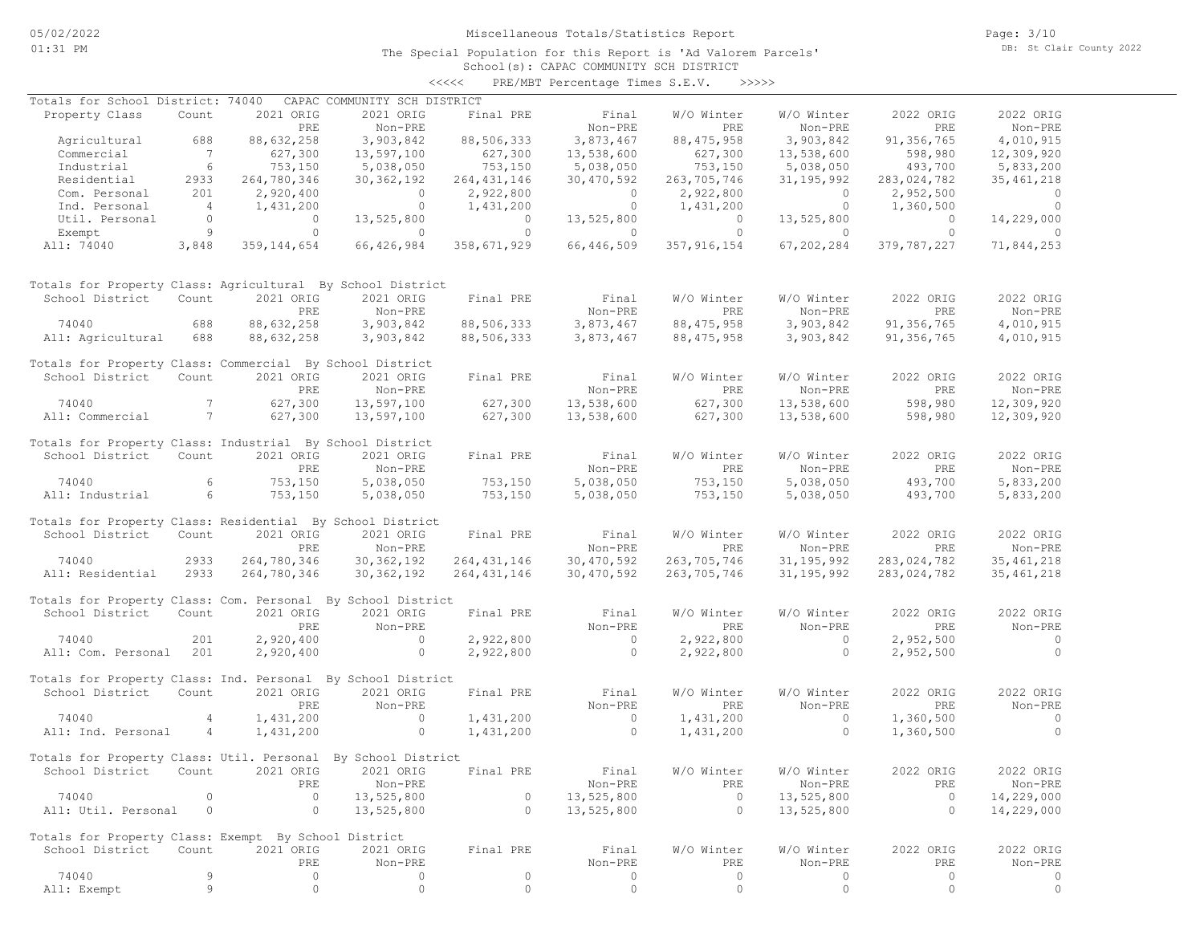The Special Population for this Report is 'Ad Valorem Parcels'

School(s): CAPAC COMMUNITY SCH DISTRICT <<<<< PRE/MBT Percentage Times S.E.V. >>>>>

| Totals for School District: 74040                            |                 |               | CAPAC COMMUNITY SCH DISTRICT |                |                |                |                |                |                |
|--------------------------------------------------------------|-----------------|---------------|------------------------------|----------------|----------------|----------------|----------------|----------------|----------------|
| Property Class                                               | Count           | 2021 ORIG     | 2021 ORIG                    | Final PRE      | Final          | W/O Winter     | W/O Winter     | 2022 ORIG      | 2022 ORIG      |
|                                                              |                 | PRE           | Non-PRE                      |                | Non-PRE        | PRE            | Non-PRE        | PRE            | Non-PRE        |
| Agricultural                                                 | 688             | 88,632,258    | 3,903,842                    | 88,506,333     | 3,873,467      | 88, 475, 958   | 3,903,842      | 91,356,765     | 4,010,915      |
| Commercial                                                   | $\overline{7}$  | 627,300       | 13,597,100                   | 627,300        | 13,538,600     | 627,300        | 13,538,600     | 598,980        | 12,309,920     |
| Industrial                                                   | 6               | 753,150       | 5,038,050                    | 753,150        | 5,038,050      | 753,150        | 5,038,050      | 493,700        | 5,833,200      |
| Residential                                                  | 2933            | 264,780,346   | 30, 362, 192                 | 264, 431, 146  | 30,470,592     | 263,705,746    | 31, 195, 992   | 283,024,782    | 35, 461, 218   |
| Com. Personal                                                | 201             | 2,920,400     | $\overline{0}$               | 2,922,800      | $\overline{0}$ | 2,922,800      | $\sim$ 0       | 2,952,500      | $\sim$ 0       |
| Ind. Personal                                                | $\overline{4}$  | 1,431,200     | $\overline{0}$               | 1,431,200      | $\overline{0}$ | 1,431,200      | $\overline{0}$ | 1,360,500      | $\overline{0}$ |
| Util. Personal                                               | $\circ$         | $\circ$       | 13,525,800                   | $\overline{0}$ | 13,525,800     | $\overline{0}$ | 13,525,800     | $\overline{0}$ | 14,229,000     |
| Exempt                                                       | 9               | $\circ$       | $\overline{0}$               | $\Omega$       | $\sim$ 0       | $\circ$        | $\Omega$       | $\Omega$       | $\Omega$       |
| All: 74040                                                   | 3,848           | 359, 144, 654 | 66,426,984                   | 358,671,929    | 66,446,509     | 357,916,154    | 67,202,284     | 379,787,227    | 71,844,253     |
| Totals for Property Class: Agricultural By School District   |                 |               |                              |                |                |                |                |                |                |
| School District                                              | Count           | 2021 ORIG     | 2021 ORIG                    | Final PRE      | Final          | W/O Winter     | W/O Winter     | 2022 ORIG      | 2022 ORIG      |
|                                                              |                 | PRE           | Non-PRE                      |                | Non-PRE        | PRE            | Non-PRE        | <b>PRE</b>     | Non-PRE        |
| 74040                                                        | 688             | 88,632,258    | 3,903,842                    | 88,506,333     | 3,873,467      | 88, 475, 958   | 3,903,842      | 91, 356, 765   | 4,010,915      |
| All: Agricultural                                            | 688             | 88,632,258    | 3,903,842                    | 88,506,333     | 3,873,467      | 88, 475, 958   | 3,903,842      | 91, 356, 765   | 4,010,915      |
|                                                              |                 |               |                              |                |                |                |                |                |                |
| Totals for Property Class: Commercial By School District     |                 |               |                              |                |                |                |                |                |                |
| School District                                              | Count           | 2021 ORIG     | 2021 ORIG                    | Final PRE      | Final          | W/O Winter     | W/O Winter     | 2022 ORIG      | 2022 ORIG      |
|                                                              |                 | PRE           | Non-PRE                      |                | Non-PRE        | PRE            | Non-PRE        | PRE            | Non-PRE        |
| 74040                                                        | $7\phantom{0}$  | 627,300       | 13,597,100                   | 627,300        | 13,538,600     | 627,300        | 13,538,600     | 598,980        | 12,309,920     |
| All: Commercial                                              | $7\overline{)}$ | 627,300       | 13,597,100                   | 627,300        | 13,538,600     | 627,300        | 13,538,600     | 598,980        | 12,309,920     |
|                                                              |                 |               |                              |                |                |                |                |                |                |
| Totals for Property Class: Industrial By School District     |                 |               |                              |                |                |                |                |                |                |
| School District                                              | Count           | 2021 ORIG     | 2021 ORIG                    | Final PRE      | Final          | W/O Winter     | W/O Winter     | 2022 ORIG      | 2022 ORIG      |
|                                                              |                 | PRE           | Non-PRE                      |                | Non-PRE        | PRE            | Non-PRE        | <b>PRE</b>     | Non-PRE        |
| 74040                                                        | 6               | 753,150       | 5,038,050                    | 753,150        | 5,038,050      | 753,150        | 5,038,050      | 493,700        | 5,833,200      |
| All: Industrial                                              | $6\overline{6}$ | 753,150       | 5,038,050                    | 753,150        | 5,038,050      | 753,150        | 5,038,050      | 493,700        | 5,833,200      |
|                                                              |                 |               |                              |                |                |                |                |                |                |
| Totals for Property Class: Residential By School District    |                 |               |                              |                |                |                |                |                |                |
| School District                                              | Count           | 2021 ORIG     | 2021 ORIG                    | Final PRE      | Final          | W/O Winter     | W/O Winter     | 2022 ORIG      | 2022 ORIG      |
|                                                              |                 | PRE           | Non-PRE                      |                | Non-PRE        | PRE            | Non-PRE        | PRE            | Non-PRE        |
| 74040                                                        | 2933            | 264,780,346   | 30, 362, 192                 | 264, 431, 146  | 30,470,592     | 263,705,746    | 31, 195, 992   | 283,024,782    | 35, 461, 218   |
| All: Residential                                             | 2933            | 264,780,346   | 30, 362, 192                 | 264, 431, 146  | 30,470,592     | 263,705,746    | 31, 195, 992   | 283,024,782    | 35, 461, 218   |
|                                                              |                 |               |                              |                |                |                |                |                |                |
| Totals for Property Class: Com. Personal By School District  |                 |               |                              |                |                |                |                |                |                |
| School District                                              | Count           | 2021 ORIG     | 2021 ORIG                    | Final PRE      | Final          | W/O Winter     | W/O Winter     | 2022 ORIG      | 2022 ORIG      |
|                                                              |                 | PRE           | Non-PRE                      |                | Non-PRE        | PRE            | Non-PRE        | PRE            | Non-PRE        |
| 74040                                                        | 201             | 2,920,400     | $\sim$ 0                     | 2,922,800      | $\sim$ 0       | 2,922,800      | $\sim$ 0       | 2,952,500      | $\overline{0}$ |
| All: Com. Personal 201                                       |                 | 2,920,400     | $\sim$ 0                     | 2,922,800      | $\sim$ 0       | 2,922,800      | $\overline{0}$ | 2,952,500      | $\overline{0}$ |
|                                                              |                 |               |                              |                |                |                |                |                |                |
| Totals for Property Class: Ind. Personal By School District  |                 |               |                              |                |                |                |                |                |                |
| School District                                              | Count           | 2021 ORIG     | 2021 ORIG                    | Final PRE      | Final          | W/O Winter     | W/O Winter     | 2022 ORIG      | 2022 ORIG      |
|                                                              |                 | PRE           | Non-PRE                      |                | Non-PRE        | PRE            | Non-PRE        | PRE            | Non-PRE        |
| 74040                                                        | $\overline{4}$  | 1,431,200     | $\overline{0}$               | 1,431,200      | $\sim$ 0       | 1,431,200      | $\circ$        | 1,360,500      | $\sim$ 0       |
| All: Ind. Personal                                           | 4               | 1,431,200     | $\circ$                      | 1,431,200      | $\overline{0}$ | 1,431,200      | $\circ$        | 1,360,500      | $\Omega$       |
|                                                              |                 |               |                              |                |                |                |                |                |                |
| Totals for Property Class: Util. Personal By School District |                 |               |                              |                |                |                |                |                |                |
| School District                                              | Count           | 2021 ORIG     | 2021 ORIG                    | Final PRE      | Final          | W/O Winter     | W/O Winter     | 2022 ORIG      | 2022 ORIG      |
|                                                              |                 | PRE           | Non-PRE                      |                | Non-PRE        | PRE            | Non-PRE        | PRE            | Non-PRE        |
| 74040                                                        | 0               | $\circ$       | 13,525,800                   | $\circ$        | 13,525,800     | $\circ$        | 13,525,800     | $\circ$        | 14,229,000     |
| All: Util. Personal                                          | $\circ$         | $\circ$       | 13,525,800                   | $\circ$        | 13,525,800     | $\circ$        | 13,525,800     | $\circ$        | 14,229,000     |
|                                                              |                 |               |                              |                |                |                |                |                |                |
| Totals for Property Class: Exempt By School District         |                 |               |                              |                |                |                |                |                |                |
| School District                                              | Count           | 2021 ORIG     | 2021 ORIG                    | Final PRE      | Final          | W/O Winter     | W/O Winter     | 2022 ORIG      | 2022 ORIG      |
|                                                              |                 | PRE           | Non-PRE                      |                | Non-PRE        | PRE            | Non-PRE        | PRE            | Non-PRE        |
| 74040                                                        | 9               | 0             | 0                            | 0              | 0              | $\circ$        | 0              | 0              | 0              |
| All: Exempt                                                  | 9               | 0             | $\circ$                      | $\mathbb O$    | $\circ$        | $\circ$        | $\circ$        | $\circ$        | $\circ$        |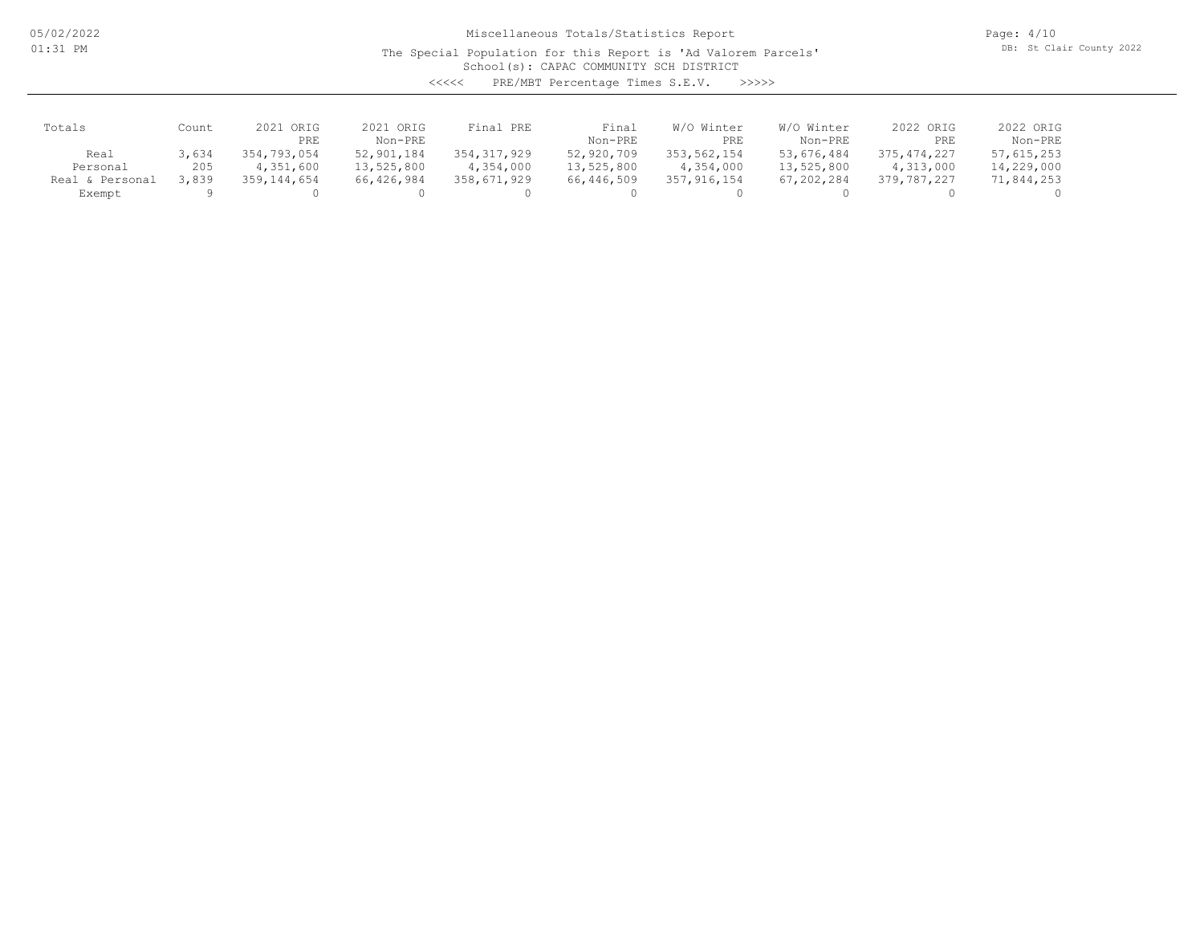05/02/2022 01:31 PM

## Miscellaneous Totals/Statistics Report

The Special Population for this Report is 'Ad Valorem Parcels'

Page: 4/10 DB: St Clair County 2022

School(s): CAPAC COMMUNITY SCH DISTRICT

<<<<< PRE/MBT Percentage Times S.E.V. >>>>>

| Totals          | Count | 2021 ORIG   | 2021 ORIG  | Final PRE     | Final      | W/O Winter    | W/O Winter | 2022 ORIG     | 2022 ORIG  |
|-----------------|-------|-------------|------------|---------------|------------|---------------|------------|---------------|------------|
|                 |       | PRE         | Non-PRE    |               | Non-PRE    | PRE           | Non-PRE    | PRE           | Non-PRE    |
| Real            | 3,634 | 354,793,054 | 52,901,184 | 354, 317, 929 | 52,920,709 | 353,562,154   | 53,676,484 | 375, 474, 227 | 57,615,253 |
| Personal        | 205   | 4,351,600   | 13,525,800 | 4,354,000     | 13,525,800 | 4,354,000     | 13,525,800 | 4,313,000     | 14,229,000 |
| Real & Personal | 3,839 | 359,144,654 | 66,426,984 | 358,671,929   | 66,446,509 | 357, 916, 154 | 67,202,284 | 379,787,227   | 71,844,253 |
| Exempt          |       |             |            |               |            |               |            |               |            |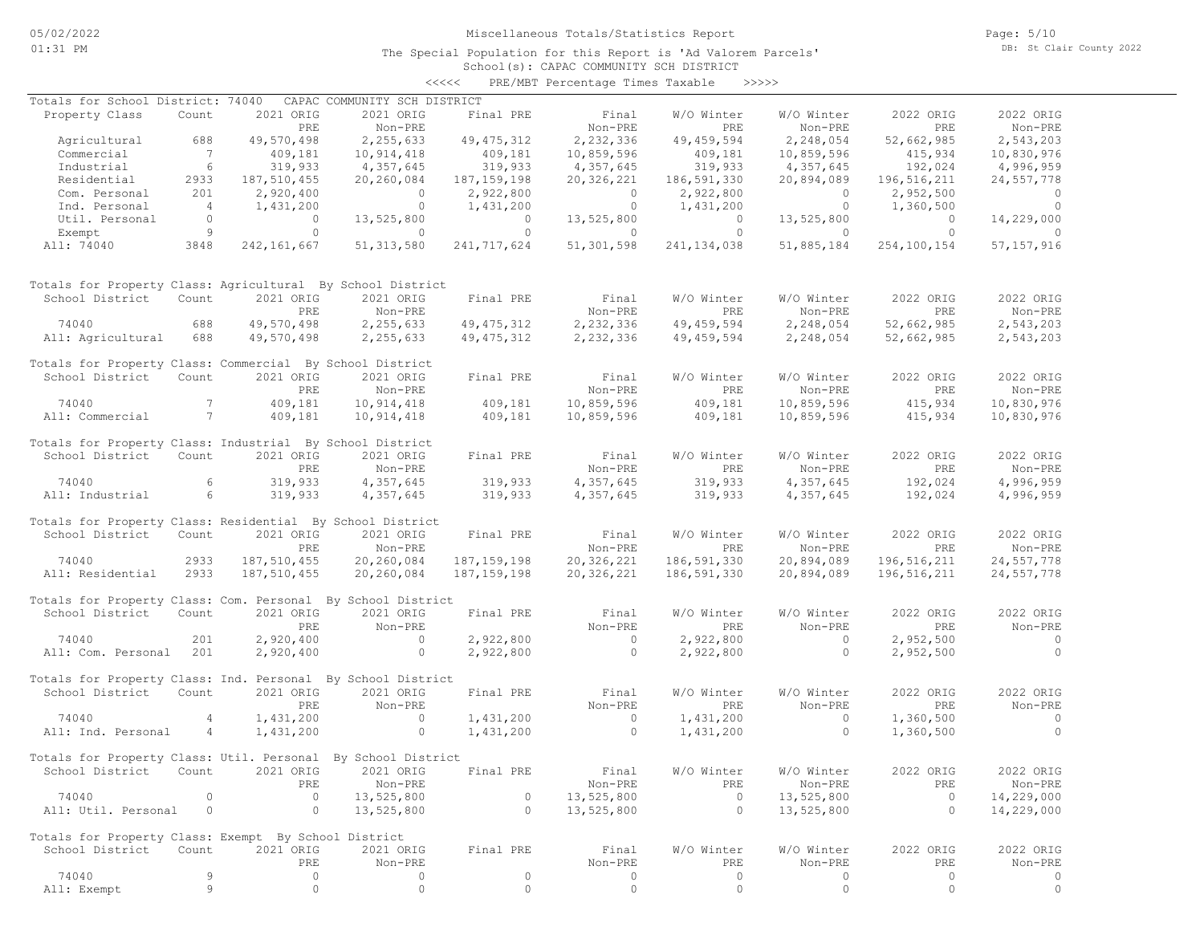School(s): CAPAC COMMUNITY SCH DISTRICT <<<<< PRE/MBT Percentage Times Taxable >>>>>

| Totals for School District: 74040                            |                 |                | CAPAC COMMUNITY SCH DISTRICT |                |                                                      |                |                |                |                |
|--------------------------------------------------------------|-----------------|----------------|------------------------------|----------------|------------------------------------------------------|----------------|----------------|----------------|----------------|
| Property Class                                               | Count           | 2021 ORIG      | 2021 ORIG                    | Final PRE      | Final                                                | W/O Winter     | W/O Winter     | 2022 ORIG      | 2022 ORIG      |
|                                                              |                 | PRE            | Non-PRE                      |                | Non-PRE                                              | PRE            | Non-PRE        | PRE            | Non-PRE        |
| Agricultural                                                 | 688             | 49,570,498     | 2,255,633                    | 49, 475, 312   | 2,232,336                                            | 49, 459, 594   | 2,248,054      | 52,662,985     | 2,543,203      |
| Commercial                                                   | $\overline{7}$  | 409,181        | 10,914,418                   | 409,181        | 10,859,596                                           | 409,181        | 10,859,596     | 415,934        | 10,830,976     |
| Industrial                                                   | $6\overline{6}$ | 319,933        | 4,357,645                    | 319,933        | 4,357,645                                            | 319,933        | 4,357,645      | 192,024        | 4,996,959      |
| Residential                                                  | 2933            | 187,510,455    | 20,260,084                   | 187, 159, 198  | 20,326,221                                           | 186,591,330    | 20,894,089     | 196,516,211    | 24,557,778     |
| Com. Personal                                                | 201             | 2,920,400      | $\overline{0}$               | 2,922,800      | $\overline{0}$                                       | 2,922,800      | $\overline{0}$ | 2,952,500      | $\circ$        |
| Ind. Personal                                                | $\overline{4}$  | 1,431,200      | $\overline{0}$               | 1,431,200      | $\overline{0}$                                       | 1,431,200      | $\overline{0}$ | 1,360,500      | $\overline{0}$ |
|                                                              | $\circ$         | $\overline{0}$ | 13,525,800                   | $\overline{0}$ | 13,525,800                                           | $\overline{0}$ | 13,525,800     | $\overline{0}$ | 14,229,000     |
| Util. Personal                                               |                 |                |                              |                |                                                      | $\Omega$       |                |                |                |
| Exempt                                                       | 9               | $\circ$        | $\circ$                      | $\circ$        | $\sim$ 0                                             |                | $\overline{0}$ | $\overline{0}$ | $\Omega$       |
| All: 74040                                                   | 3848            | 242, 161, 667  | 51, 313, 580                 | 241,717,624    | 51,301,598                                           | 241, 134, 038  | 51,885,184     | 254,100,154    | 57, 157, 916   |
| Totals for Property Class: Agricultural By School District   |                 |                |                              |                |                                                      |                |                |                |                |
| School District                                              | Count           | 2021 ORIG      | 2021 ORIG                    | Final PRE      | Final                                                | W/O Winter     | W/O Winter     | 2022 ORIG      | 2022 ORIG      |
|                                                              |                 | PRE            | Non-PRE                      |                | Non-PRE                                              | PRE            | Non-PRE        | PRE            | Non-PRE        |
| 74040                                                        | 688             | 49,570,498     | 2,255,633                    |                |                                                      | 49, 459, 594   | 2,248,054      | 52,662,985     | 2,543,203      |
| All: Agricultural                                            | 688             | 49,570,498     | 2,255,633                    |                | 49, 475, 312 2, 232, 336<br>49, 475, 312 2, 232, 336 | 49,459,594     | 2,248,054      | 52,662,985     | 2,543,203      |
|                                                              |                 |                |                              |                |                                                      |                |                |                |                |
| Totals for Property Class: Commercial By School District     |                 |                |                              |                |                                                      |                |                |                |                |
| School District Count                                        |                 | 2021 ORIG      | 2021 ORIG                    | Final PRE      | Final                                                | W/O Winter     | W/O Winter     | 2022 ORIG      | 2022 ORIG      |
|                                                              |                 | PRE            | Non-PRE                      |                | Non-PRE                                              | PRE            | Non-PRE        | PRE            | Non-PRE        |
| 74040                                                        | 7               | 409,181        | 10,914,418                   | 409,181        | 10,859,596                                           | 409,181        | 10,859,596     | 415,934        | 10,830,976     |
| All: Commercial                                              |                 | 409,181        | 10,914,418                   | 409,181        | 10,859,596                                           | 409,181        | 10,859,596     | 415,934        | 10,830,976     |
| Totals for Property Class: Industrial By School District     |                 |                |                              |                |                                                      |                |                |                |                |
| School District                                              | Count           | 2021 ORIG      | 2021 ORIG                    | Final PRE      | Final                                                | W/O Winter     | W/O Winter     | 2022 ORIG      | 2022 ORIG      |
|                                                              |                 | PRE            | Non-PRE                      |                | Non-PRE                                              | <b>PRE</b>     | Non-PRE        | PRE            | Non-PRE        |
| 74040                                                        | 6               | 319,933        | 4,357,645                    | 319,933        | 4,357,645                                            | 319,933        | 4,357,645      | 192,024        | 4,996,959      |
| All: Industrial                                              | $6\overline{6}$ | 319,933        | 4,357,645                    | 319,933        | 4,357,645                                            | 319,933        | 4,357,645      | 192,024        | 4,996,959      |
|                                                              |                 |                |                              |                |                                                      |                |                |                |                |
| Totals for Property Class: Residential By School District    |                 |                |                              |                |                                                      |                |                |                |                |
| School District                                              | Count           | 2021 ORIG      | 2021 ORIG                    | Final PRE      | Final                                                | W/O Winter     | W/O Winter     | 2022 ORIG      | 2022 ORIG      |
|                                                              |                 | PRE            | Non-PRE                      |                | Non-PRE                                              | PRE            | Non-PRE        | PRE            | Non-PRE        |
| 74040                                                        | 2933            | 187, 510, 455  | 20,260,084                   | 187, 159, 198  | 20,326,221                                           | 186,591,330    | 20,894,089     | 196,516,211    | 24,557,778     |
| All: Residential                                             | 2933            | 187,510,455    | 20,260,084                   | 187, 159, 198  | 20,326,221                                           | 186,591,330    | 20,894,089     | 196,516,211    | 24,557,778     |
|                                                              |                 |                |                              |                |                                                      |                |                |                |                |
| Totals for Property Class: Com. Personal By School District  |                 |                |                              |                |                                                      |                |                |                |                |
| School District                                              | Count           | 2021 ORIG      | 2021 ORIG                    | Final PRE      | Final                                                | W/O Winter     | W/O Winter     | 2022 ORIG      | 2022 ORIG      |
|                                                              |                 | PRE            | Non-PRE                      |                | Non-PRE                                              | PRE            | Non-PRE        | PRE            | Non-PRE        |
| 74040                                                        | 201             | 2,920,400      | $\overline{0}$               | 2,922,800      | $\overline{0}$                                       | 2,922,800      | $\sim$ 0       | 2,952,500      | $\circ$        |
| All: Com. Personal 201                                       |                 | 2,920,400      | $\sim$ 0                     | 2,922,800      | $\sim$ 0                                             | 2,922,800      | $\overline{0}$ | 2,952,500      | $\circ$        |
| Totals for Property Class: Ind. Personal By School District  |                 |                |                              |                |                                                      |                |                |                |                |
| School District                                              | Count           | 2021 ORIG      | 2021 ORIG                    | Final PRE      | Final                                                | W/O Winter     | W/O Winter     | 2022 ORIG      | 2022 ORIG      |
|                                                              |                 |                |                              |                |                                                      |                |                |                |                |
|                                                              |                 | PRE            | Non-PRE                      |                | Non-PRE                                              | PRE            | Non-PRE        | PRE            | Non-PRE        |
| 74040                                                        | $\overline{4}$  | 1,431,200      | $\sim$ 0                     | 1,431,200      | $\sim$ 0                                             | 1,431,200      | $\overline{0}$ | 1,360,500      | $\sim$ 0       |
| All: Ind. Personal                                           | 4               | 1,431,200      | $\circ$                      | 1,431,200      | $\overline{0}$                                       | 1,431,200      | $\Omega$       | 1,360,500      | $\Omega$       |
| Totals for Property Class: Util. Personal By School District |                 |                |                              |                |                                                      |                |                |                |                |
|                                                              |                 |                | 2021 ORIG 2021 ORIG          |                | Final                                                |                |                |                |                |
| School District                                              | Count           |                |                              | Final PRE      |                                                      | W/O Winter     | W/O Winter     | 2022 ORIG      | 2022 ORIG      |
|                                                              |                 | PRE            | Non-PRE                      |                | Non-PRE                                              | PRE            | Non-PRE        | PRE            | Non-PRE        |
| 74040                                                        | $\circ$         | $\circ$        | 13,525,800                   | $\circ$        | 13,525,800                                           | $\circ$        | 13,525,800     | $\circ$        | 14,229,000     |
| All: Util. Personal                                          | 0               | $\circ$        | 13,525,800                   | $\circ$        | 13,525,800                                           | $\circ$        | 13,525,800     | $\circ$        | 14,229,000     |
| Totals for Property Class: Exempt By School District         |                 |                |                              |                |                                                      |                |                |                |                |
| School District                                              | Count           | 2021 ORIG      | 2021 ORIG                    | Final PRE      | Final                                                | W/O Winter     | W/O Winter     | 2022 ORIG      | 2022 ORIG      |
|                                                              |                 | PRE            | Non-PRE                      |                | Non-PRE                                              | PRE            | Non-PRE        | PRE            | Non-PRE        |
| 74040                                                        | 9               | 0              | 0                            | $\circ$        | 0                                                    | $\circ$        | 0              | 0              | 0              |
| All: Exempt                                                  | 9               | $\circ$        | $\circ$                      | $\circ$        | $\circ$                                              | $\circ$        | $\circ$        | $\circ$        | $\circ$        |
|                                                              |                 |                |                              |                |                                                      |                |                |                |                |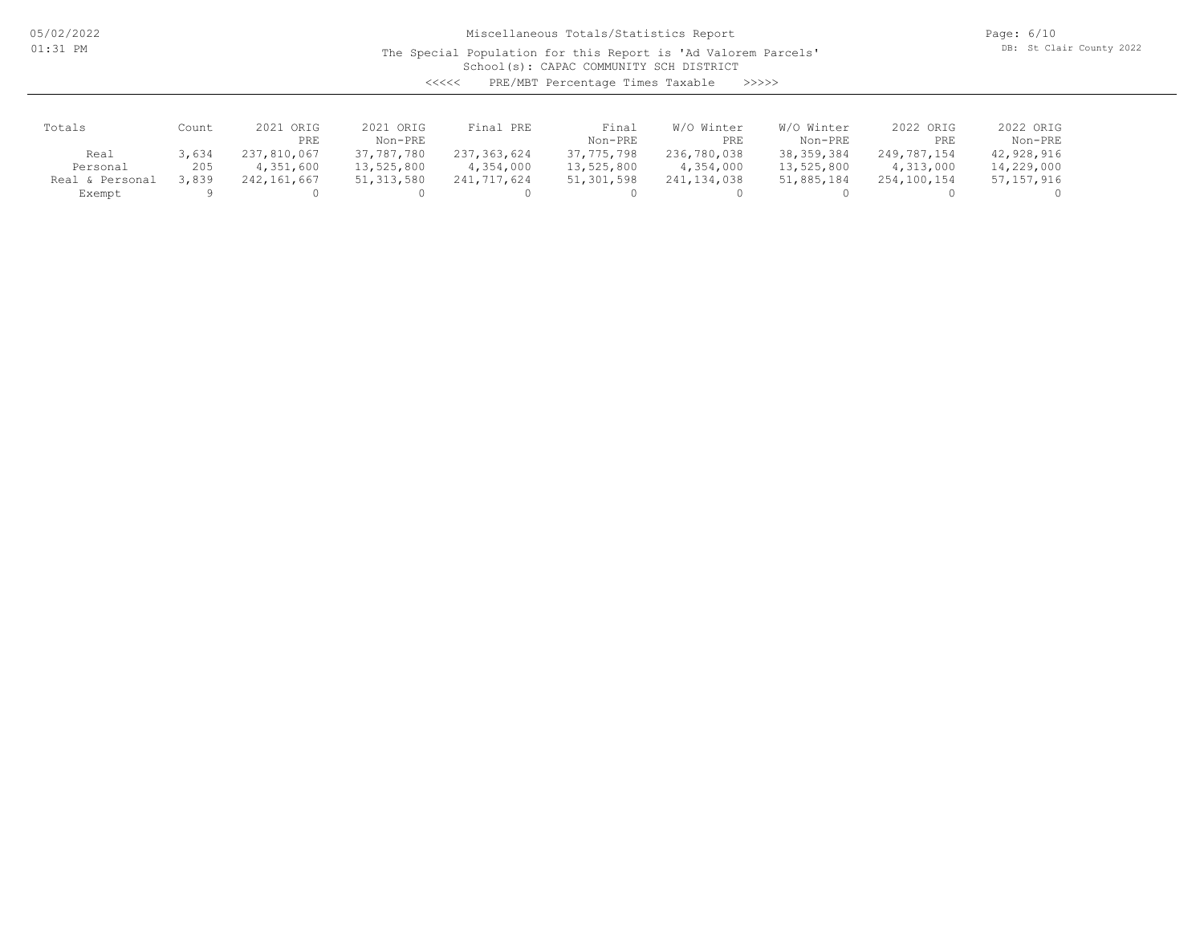05/02/2022 01:31 PM

## Miscellaneous Totals/Statistics Report

The Special Population for this Report is 'Ad Valorem Parcels'

Page: 6/10 DB: St Clair County 2022

School(s): CAPAC COMMUNITY SCH DISTRICT

<<<<< PRE/MBT Percentage Times Taxable >>>>>

| Totals                    | Count        | 2021 ORIG<br>PRE         | 2021 ORIG<br>Non-PRE     | Final PRE                | Final<br>Non-PRE         | W/O Winter<br>PRE        | W/O Winter<br>Non-PRE      | 2022 ORIG<br>PRE         | 2022 ORIG<br>Non-PRE     |
|---------------------------|--------------|--------------------------|--------------------------|--------------------------|--------------------------|--------------------------|----------------------------|--------------------------|--------------------------|
| Real<br>Personal          | 3,634<br>205 | 237,810,067<br>4,351,600 | 37,787,780<br>13,525,800 | 237,363,624<br>4,354,000 | 37,775,798<br>13,525,800 | 236,780,038<br>4,354,000 | 38, 359, 384<br>13,525,800 | 249,787,154<br>4,313,000 | 42,928,916<br>14,229,000 |
| Real & Personal<br>Exempt | 3,839        | 242,161,667              | 51, 313, 580             | 241,717,624              | 51,301,598               | 241,134,038              | 51,885,184                 | 254,100,154              | 57, 157, 916             |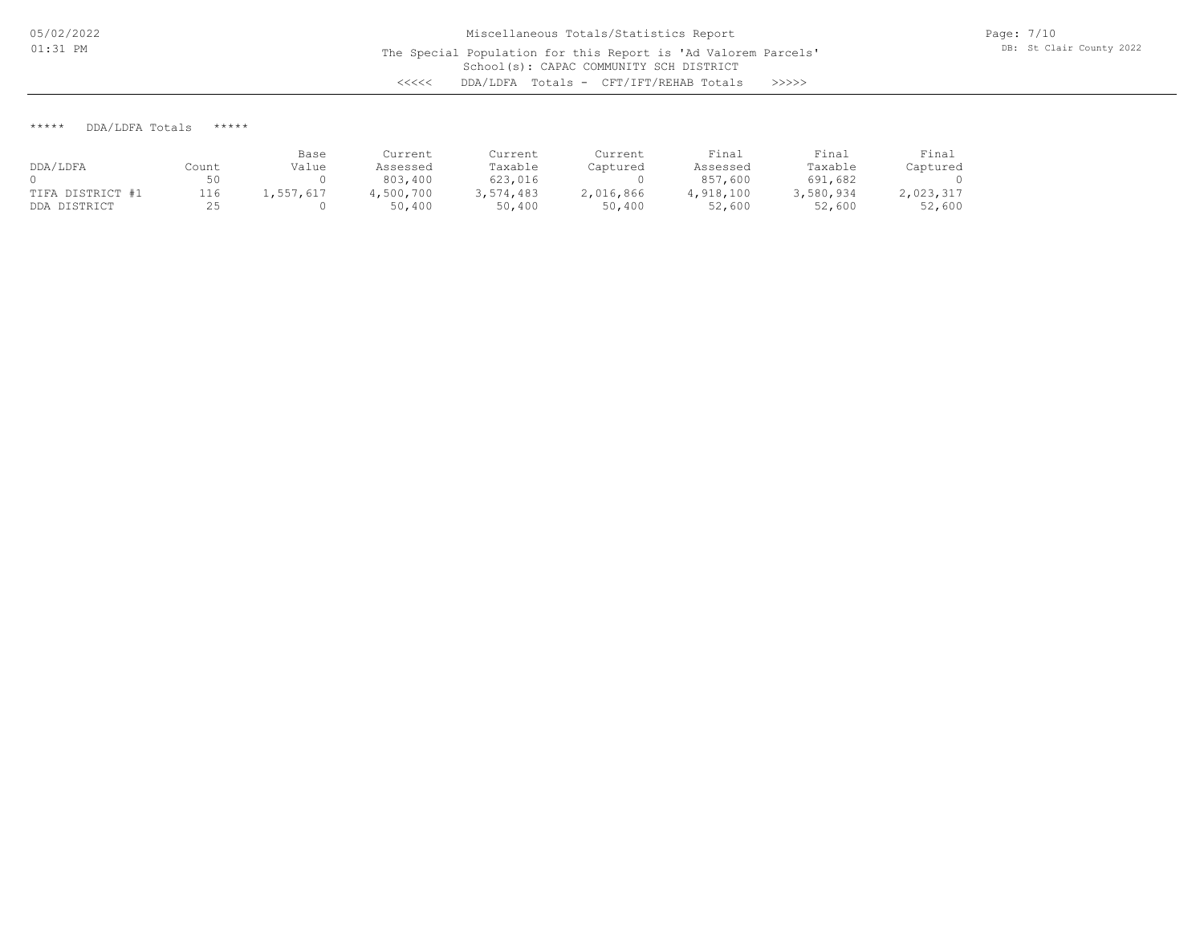\*\*\*\*\* DDA/LDFA Totals \*\*\*\*\*

|                  |       | Base      | Current  | Current   | Current   | Final     | Final     | Final     |
|------------------|-------|-----------|----------|-----------|-----------|-----------|-----------|-----------|
| DDA/LDFA         | Count | Value     | Assessed | Taxable   | Captured  | Assessed  | Taxable   | Captured  |
|                  | 50    |           | 803,400  | 623,016   |           | 857,600   | 691,682   |           |
| TIFA DISTRICT #1 | 116   | 1,557,617 | .500.700 | 3,574,483 | 2,016,866 | 4,918,100 | 3,580,934 | 2,023,317 |
| DDA DISTRICT     |       |           | 50,400   | 50,400    | 50,400    | 52,600    | 52,600    | 52,600    |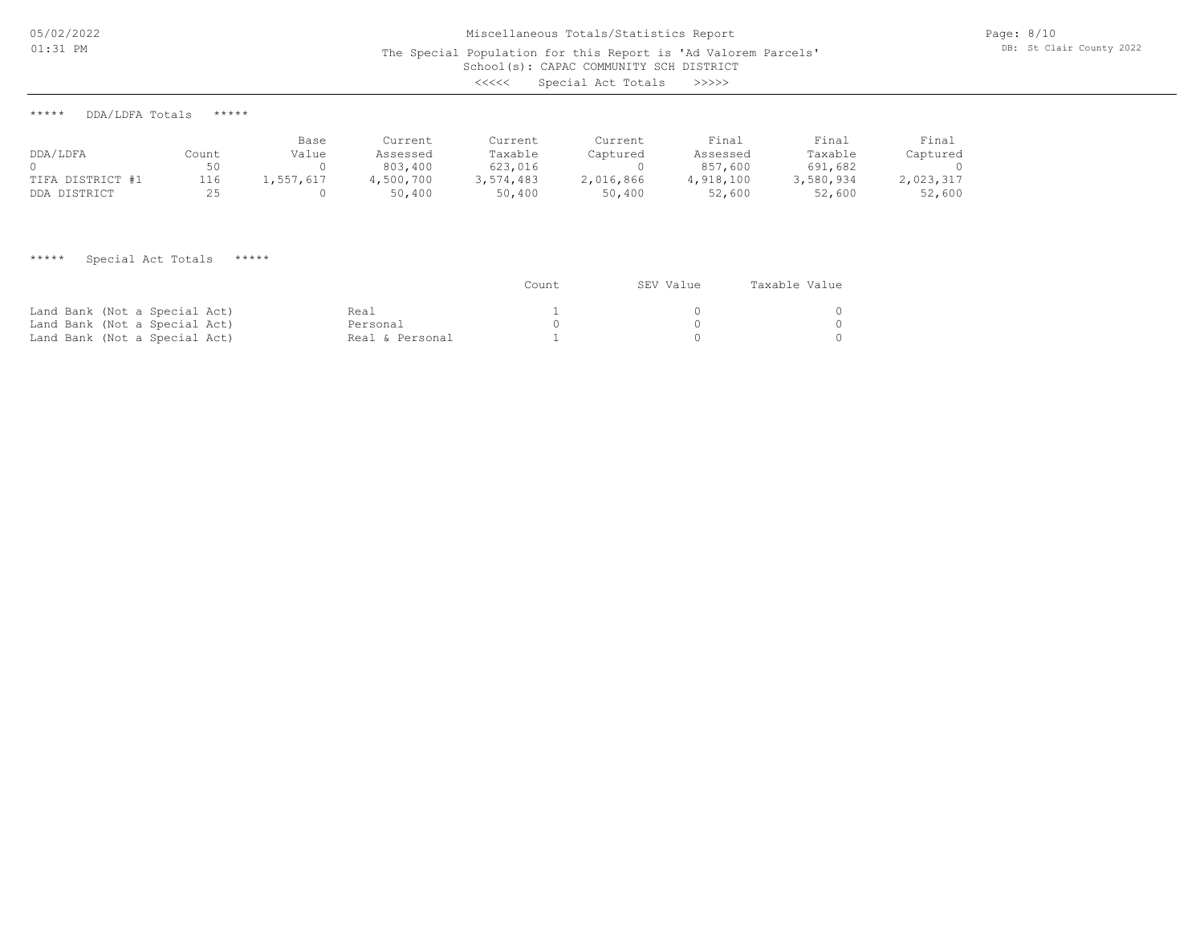## School(s): CAPAC COMMUNITY SCH DISTRICT Miscellaneous Totals/Statistics Report The Special Population for this Report is 'Ad Valorem Parcels' <<<<< Special Act Totals >>>>>

Page: 8/10 DB: St Clair County 2022

\*\*\*\*\* DDA/LDFA Totals \*\*\*\*\*

| DDA/LDFA         | Count | Base<br>Value | Current<br>Assessed | Current<br>Taxable | Current<br>Captured | Final<br>Assessed | Final<br>Taxable | Final<br>Captured |
|------------------|-------|---------------|---------------------|--------------------|---------------------|-------------------|------------------|-------------------|
|                  | 50    |               | 803,400             | 623,016            |                     | 857,600           | 691,682          |                   |
| TIFA DISTRICT #1 | 116   | 1,557,617     | 4,500,700           | 3,574,483          | 2,016,866           | 4,918,100         | 3,580,934        | 2,023,317         |
| DDA DISTRICT     | 25    |               | 50,400              | 50,400             | 50,400              | 52,600            | 52,600           | 52,600            |

\*\*\*\*\* Special Act Totals \*\*\*\*\*

|                               |                 | Count | SEV Value | Taxable Value |  |
|-------------------------------|-----------------|-------|-----------|---------------|--|
| Land Bank (Not a Special Act) | Real            |       |           |               |  |
| Land Bank (Not a Special Act) | Personal        |       |           |               |  |
| Land Bank (Not a Special Act) | Real & Personal |       |           |               |  |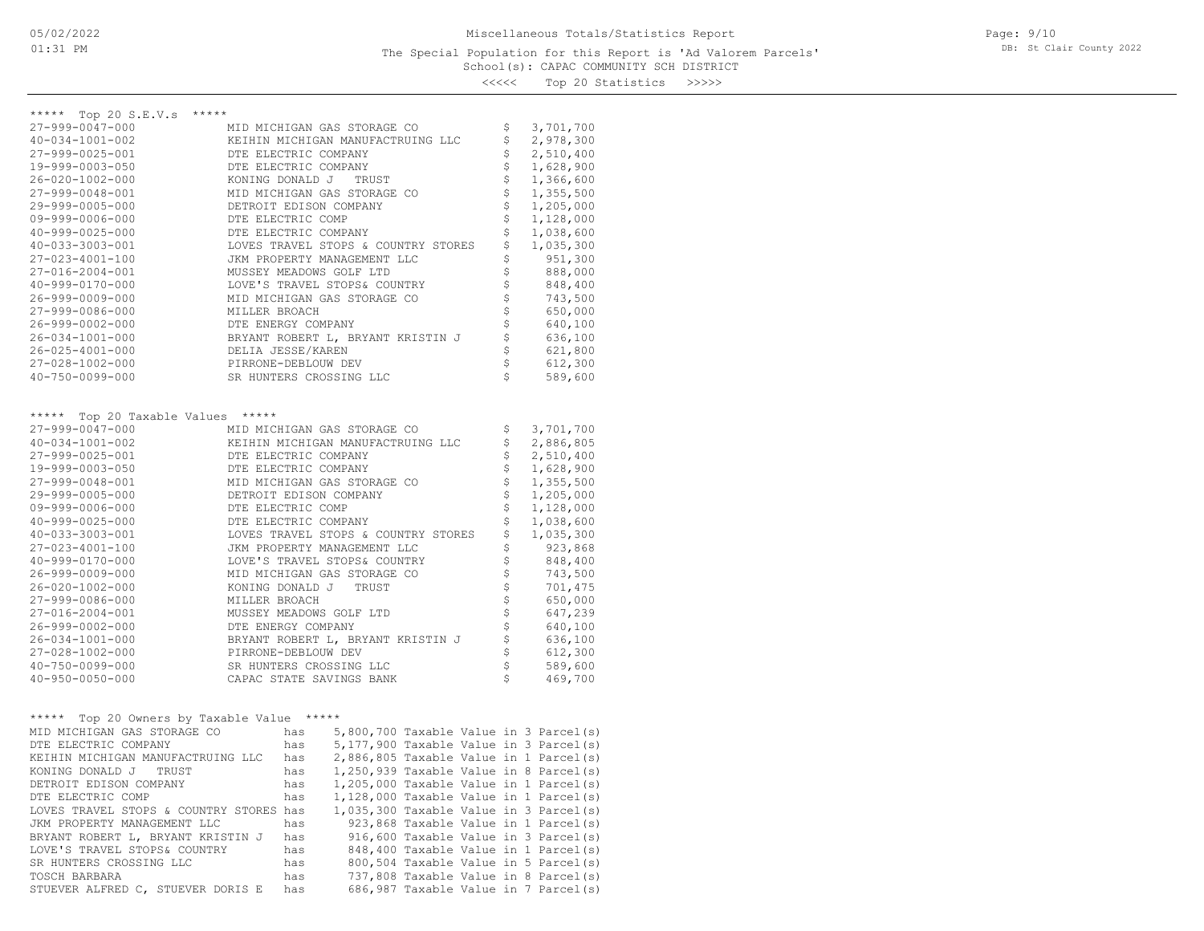#### School(s): CAPAC COMMUNITY SCH DISTRICT The Special Population for this Report is 'Ad Valorem Parcels'

Page: 9/10 DB: St Clair County 2022

<<<<< Top 20 Statistics >>>>>

| *****                                      |                      |     |                                     |                                        |                                          |
|--------------------------------------------|----------------------|-----|-------------------------------------|----------------------------------------|------------------------------------------|
| ***** Top 20 S.E.V.s                       |                      |     |                                     |                                        |                                          |
| 27-999-0047-000                            |                      |     | MID MICHIGAN GAS STORAGE CO         |                                        | \$<br>3,701,700                          |
| $40 - 034 - 1001 - 002$                    |                      |     | KEIHIN MICHIGAN MANUFACTRUING LLC   |                                        | \$<br>2,978,300                          |
| 27-999-0025-001                            | DTE ELECTRIC COMPANY |     |                                     |                                        | \$<br>2,510,400                          |
| 19-999-0003-050                            | DTE ELECTRIC COMPANY |     |                                     |                                        | \$<br>1,628,900                          |
| 26-020-1002-000                            | KONING DONALD J      |     | TRUST                               |                                        | \$<br>1,366,600                          |
| 27-999-0048-001                            |                      |     | MID MICHIGAN GAS STORAGE CO         |                                        | \$<br>1,355,500                          |
| 29-999-0005-000                            |                      |     | DETROIT EDISON COMPANY              |                                        | \$<br>1,205,000                          |
| $09 - 999 - 0006 - 000$                    | DTE ELECTRIC COMP    |     |                                     |                                        | \$<br>1,128,000                          |
| $40 - 999 - 0025 - 000$                    | DTE ELECTRIC COMPANY |     |                                     |                                        | \$<br>1,038,600                          |
| $40 - 033 - 3003 - 001$                    |                      |     | LOVES TRAVEL STOPS & COUNTRY STORES |                                        | \$<br>1,035,300                          |
| $27 - 023 - 4001 - 100$                    |                      |     | JKM PROPERTY MANAGEMENT LLC         |                                        | \$<br>951,300                            |
| 27-016-2004-001                            |                      |     | MUSSEY MEADOWS GOLF LTD             |                                        | \$<br>888,000                            |
| 40-999-0170-000                            |                      |     | LOVE'S TRAVEL STOPS& COUNTRY        |                                        | \$<br>848,400                            |
| 26-999-0009-000                            |                      |     | MID MICHIGAN GAS STORAGE CO         |                                        | \$<br>743,500                            |
| 27-999-0086-000                            | MILLER BROACH        |     |                                     |                                        | \$<br>650,000                            |
| 26-999-0002-000                            | DTE ENERGY COMPANY   |     |                                     |                                        | \$<br>640,100                            |
| 26-034-1001-000                            |                      |     | BRYANT ROBERT L, BRYANT KRISTIN J   |                                        | \$<br>636,100                            |
| $26 - 025 - 4001 - 000$                    | DELIA JESSE/KAREN    |     |                                     |                                        | \$<br>621,800                            |
| 27-028-1002-000                            | PIRRONE-DEBLOUW DEV  |     |                                     |                                        | \$<br>612,300                            |
| $40 - 750 - 0099 - 000$                    |                      |     | SR HUNTERS CROSSING LLC             |                                        | \$<br>589,600                            |
|                                            |                      |     |                                     |                                        |                                          |
| ***** Top 20 Taxable Values *****          |                      |     |                                     |                                        |                                          |
| 27-999-0047-000                            |                      |     | MID MICHIGAN GAS STORAGE CO         |                                        | \$<br>3,701,700                          |
| $40 - 034 - 1001 - 002$                    |                      |     | KEIHIN MICHIGAN MANUFACTRUING LLC   |                                        | \$<br>2,886,805                          |
| 27-999-0025-001                            | DTE ELECTRIC COMPANY |     |                                     |                                        | \$<br>2,510,400                          |
| 19-999-0003-050                            | DTE ELECTRIC COMPANY |     |                                     |                                        | \$<br>1,628,900                          |
| 27-999-0048-001                            |                      |     | MID MICHIGAN GAS STORAGE CO         |                                        | \$<br>1,355,500                          |
| 29-999-0005-000                            |                      |     | DETROIT EDISON COMPANY              |                                        | \$<br>1,205,000                          |
| $09 - 999 - 0006 - 000$                    | DTE ELECTRIC COMP    |     |                                     |                                        | \$<br>1,128,000                          |
| $40 - 999 - 0025 - 000$                    | DTE ELECTRIC COMPANY |     |                                     |                                        | \$<br>1,038,600                          |
| $40 - 033 - 3003 - 001$                    |                      |     | LOVES TRAVEL STOPS & COUNTRY STORES |                                        | \$<br>1,035,300                          |
| 27-023-4001-100                            |                      |     | JKM PROPERTY MANAGEMENT LLC         |                                        | \$<br>923,868                            |
| $40 - 999 - 0170 - 000$                    |                      |     | LOVE'S TRAVEL STOPS& COUNTRY        |                                        | \$<br>848,400                            |
| 26-999-0009-000                            |                      |     | MID MICHIGAN GAS STORAGE CO         |                                        | \$<br>743,500                            |
| 26-020-1002-000                            |                      |     | KONING DONALD J TRUST               |                                        | \$<br>701,475                            |
| 27-999-0086-000                            | MILLER BROACH        |     |                                     |                                        | \$<br>650,000                            |
| 27-016-2004-001                            |                      |     | MUSSEY MEADOWS GOLF LTD             |                                        | \$<br>647,239                            |
| 26-999-0002-000                            | DTE ENERGY COMPANY   |     |                                     |                                        | \$<br>640,100                            |
| 26-034-1001-000                            |                      |     | BRYANT ROBERT L, BRYANT KRISTIN J   |                                        | \$<br>636,100                            |
| 27-028-1002-000                            | PIRRONE-DEBLOUW DEV  |     |                                     |                                        | \$<br>612,300                            |
| $40 - 750 - 0099 - 000$                    |                      |     | SR HUNTERS CROSSING LLC             |                                        | \$<br>589,600                            |
| $40 - 950 - 0050 - 000$                    |                      |     | CAPAC STATE SAVINGS BANK            |                                        | \$<br>469,700                            |
|                                            |                      |     |                                     |                                        |                                          |
| ***** Top 20 Owners by Taxable Value ***** |                      |     |                                     |                                        |                                          |
| MID MICHIGAN GAS STORAGE CO                |                      | has |                                     |                                        | 5,800,700 Taxable Value in 3 Parcel(s)   |
| DTE ELECTRIC COMPANY                       |                      | has |                                     |                                        | 5,177,900 Taxable Value in 3 Parcel(s)   |
| KEIHIN MICHIGAN MANUFACTRUING LLC          |                      | has |                                     |                                        | 2,886,805 Taxable Value in 1 Parcel(s)   |
| KONING DONALD J TRUST                      |                      | has |                                     |                                        | $1,250,939$ Taxable Value in 8 Parcel(s) |
| DETROIT EDISON COMPANY                     |                      | has |                                     |                                        | $1,205,000$ Taxable Value in 1 Parcel(s) |
| DTE ELECTRIC COMP                          | has                  |     |                                     | 1,128,000 Taxable Value in 1 Parcel(s) |                                          |
| LOVES TRAVEL STOPS & COUNTRY STORES has    |                      |     |                                     |                                        | $1,035,300$ Taxable Value in 3 Parcel(s) |
| JKM PROPERTY MANAGEMENT LLC                |                      | has |                                     |                                        | 923,868 Taxable Value in 1 Parcel(s)     |
| BRYANT ROBERT L, BRYANT KRISTIN J          |                      | has |                                     |                                        | 916,600 Taxable Value in 3 Parcel(s)     |
| LOVE'S TRAVEL STOPS& COUNTRY               |                      | has |                                     |                                        | 848,400 Taxable Value in 1 Parcel(s)     |
| SR HUNTERS CROSSING LLC                    |                      |     |                                     |                                        | 800,504 Taxable Value in 5 Parcel(s)     |

STUEVER ALFRED C, STUEVER DORIS E has 686,987 Taxable Value in 7 Parcel(s) TOSCH BARBARA has 737,808 Taxable Value in 8 Parcel(s)